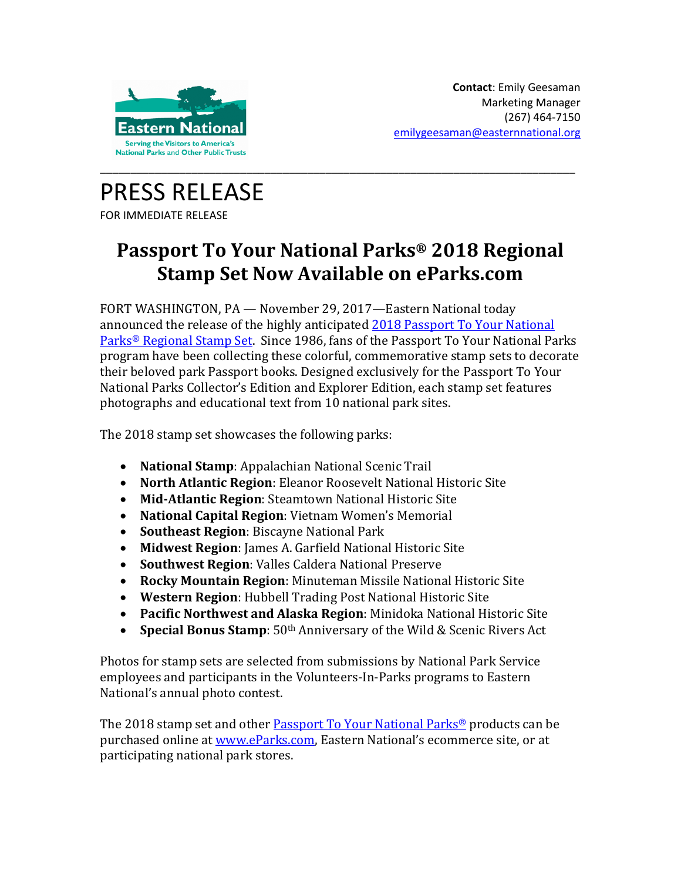

PRESS RELEASE FOR IMMEDIATE RELEASE

## **Passport To Your National Parks® 2018 Regional Stamp Set Now Available on eParks.com**

FORT WASHINGTON, PA — November 29, 2017—Eastern National today announced the release of the highly anticipated 2018 [Passport To Your National](https://www.eparks.com/store/category/30/279/Stamp-Sets/)  Parks® [Regional Stamp Set.](https://www.eparks.com/store/category/30/279/Stamp-Sets/) Since 1986, fans of the Passport To Your National Parks program have been collecting these colorful, commemorative stamp sets to decorate their beloved park Passport books. Designed exclusively for the Passport To Your National Parks Collector's Edition and Explorer Edition, each stamp set features photographs and educational text from 10 national park sites.

The 2018 stamp set showcases the following parks:

- **National Stamp**: Appalachian National Scenic Trail
- **North Atlantic Region**: Eleanor Roosevelt National Historic Site
- **Mid-Atlantic Region**: Steamtown National Historic Site
- **National Capital Region**: Vietnam Women's Memorial
- **Southeast Region**: Biscayne National Park
- **Midwest Region**: James A. Garfield National Historic Site
- **Southwest Region**: Valles Caldera National Preserve
- **Rocky Mountain Region**: Minuteman Missile National Historic Site
- **Western Region**: Hubbell Trading Post National Historic Site
- **Pacific Northwest and Alaska Region**: Minidoka National Historic Site
- **Special Bonus Stamp**: 50th Anniversary of the Wild & Scenic Rivers Act

Photos for stamp sets are selected from submissions by National Park Service employees and participants in the Volunteers-In-Parks programs to Eastern National's annual photo contest.

The 2018 stamp set and other [Passport To Your National Parks®](https://www.eparks.com/store/category/30/278/Passport/) products can be purchased online at [www.eParks.com,](http://www.eparks.com/) Eastern National's ecommerce site, or at participating national park stores.